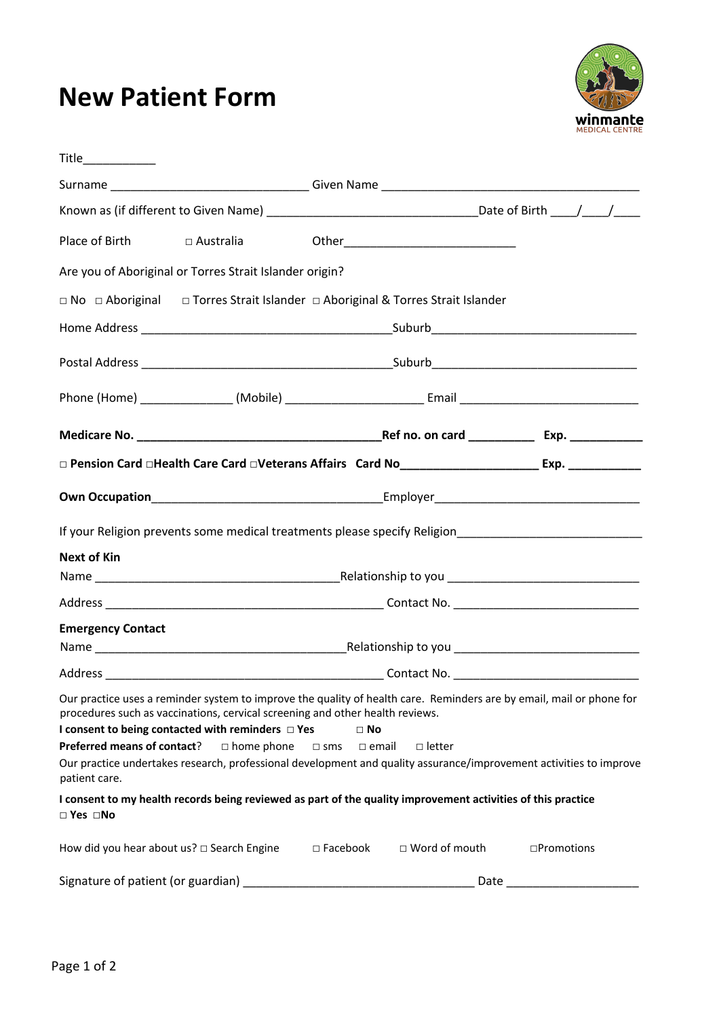## **New Patient Form**



| Place of Birth                               | $\Box$ Australia                                                                                                                                             |                                            |                                                                                                              |                                                                                                                                                                                                                                            |
|----------------------------------------------|--------------------------------------------------------------------------------------------------------------------------------------------------------------|--------------------------------------------|--------------------------------------------------------------------------------------------------------------|--------------------------------------------------------------------------------------------------------------------------------------------------------------------------------------------------------------------------------------------|
|                                              | Are you of Aboriginal or Torres Strait Islander origin?                                                                                                      |                                            |                                                                                                              |                                                                                                                                                                                                                                            |
|                                              |                                                                                                                                                              |                                            | □ No □ Aboriginal □ Torres Strait Islander □ Aboriginal & Torres Strait Islander                             |                                                                                                                                                                                                                                            |
|                                              |                                                                                                                                                              |                                            |                                                                                                              |                                                                                                                                                                                                                                            |
|                                              |                                                                                                                                                              |                                            |                                                                                                              |                                                                                                                                                                                                                                            |
|                                              |                                                                                                                                                              |                                            |                                                                                                              |                                                                                                                                                                                                                                            |
|                                              |                                                                                                                                                              |                                            |                                                                                                              |                                                                                                                                                                                                                                            |
|                                              |                                                                                                                                                              |                                            |                                                                                                              | □ Pension Card □Health Care Card □Veterans Affairs (Card Nost All All All Annument Asp. 2008. 2008. 2009. 2009                                                                                                                             |
|                                              |                                                                                                                                                              |                                            |                                                                                                              |                                                                                                                                                                                                                                            |
|                                              |                                                                                                                                                              |                                            |                                                                                                              |                                                                                                                                                                                                                                            |
| <b>Next of Kin</b>                           |                                                                                                                                                              |                                            |                                                                                                              |                                                                                                                                                                                                                                            |
|                                              |                                                                                                                                                              |                                            |                                                                                                              |                                                                                                                                                                                                                                            |
|                                              |                                                                                                                                                              |                                            |                                                                                                              |                                                                                                                                                                                                                                            |
| <b>Emergency Contact</b>                     |                                                                                                                                                              |                                            |                                                                                                              |                                                                                                                                                                                                                                            |
|                                              |                                                                                                                                                              |                                            |                                                                                                              |                                                                                                                                                                                                                                            |
| Preferred means of contact?<br>patient care. | procedures such as vaccinations, cervical screening and other health reviews.<br>I consent to being contacted with reminders $\Box$ Yes<br>$\Box$ home phone | $\Box$ No<br>$\square$ sms<br>$\Box$ email | $\Box$ letter                                                                                                | Our practice uses a reminder system to improve the quality of health care. Reminders are by email, mail or phone for<br>Our practice undertakes research, professional development and quality assurance/improvement activities to improve |
| $\Box$ Yes $\Box$ No                         |                                                                                                                                                              |                                            | I consent to my health records being reviewed as part of the quality improvement activities of this practice |                                                                                                                                                                                                                                            |
|                                              | How did you hear about us? $\Box$ Search Engine                                                                                                              | $\square$ Facebook                         | $\Box$ Word of mouth                                                                                         | □Promotions                                                                                                                                                                                                                                |
| Signature of patient (or guardian)           |                                                                                                                                                              |                                            | Date                                                                                                         |                                                                                                                                                                                                                                            |